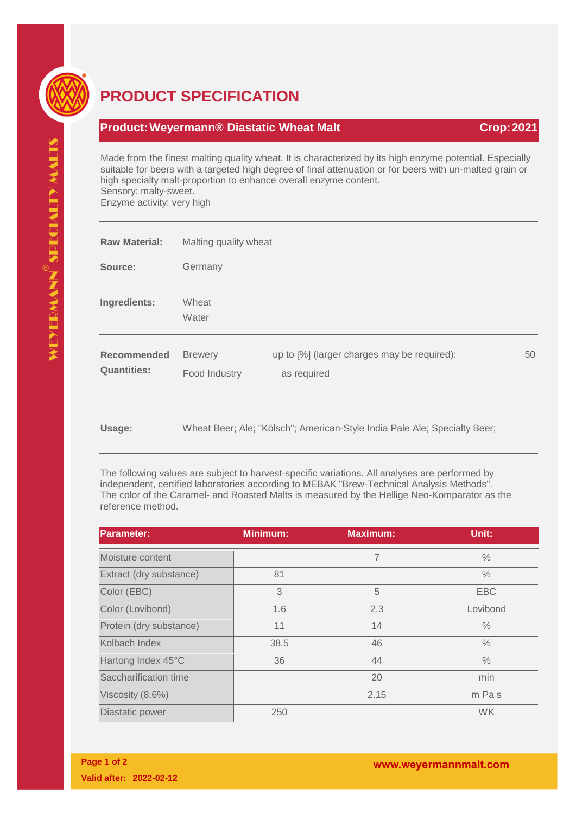

## **PRODUCT SPECIFICATION**

## **Product:Weyermann® Diastatic Wheat Malt Crop:2021**

Made from the finest malting quality wheat. It is characterized by its high enzyme potential. Especially suitable for beers with a targeted high degree of final attenuation or for beers with un-malted grain or high specialty malt-proportion to enhance overall enzyme content. Sensory: malty-sweet. Enzyme activity: very high

| <b>Raw Material:</b>                     | Malting quality wheat                                                     |                                                            |    |  |
|------------------------------------------|---------------------------------------------------------------------------|------------------------------------------------------------|----|--|
| Source:                                  | Germany                                                                   |                                                            |    |  |
| Ingredients:                             | Wheat<br>Water                                                            |                                                            |    |  |
| <b>Recommended</b><br><b>Quantities:</b> | <b>Brewery</b><br>Food Industry                                           | up to [%] (larger charges may be required):<br>as required | 50 |  |
| Usage:                                   | Wheat Beer; Ale; "Kölsch"; American-Style India Pale Ale; Specialty Beer; |                                                            |    |  |

The following values are subject to harvest-specific variations. All analyses are performed by independent, certified laboratories according to MEBAK "Brew-Technical Analysis Methods". The color of the Caramel- and Roasted Malts is measured by the Hellige Neo-Komparator as the reference method.

| <b>Parameter:</b>       | <b>Minimum:</b> | <b>Maximum:</b> | Unit:         |
|-------------------------|-----------------|-----------------|---------------|
| Moisture content        |                 | 7               | $\frac{0}{0}$ |
| Extract (dry substance) | 81              |                 | $\frac{0}{0}$ |
| Color (EBC)             | 3               | 5               | <b>EBC</b>    |
| Color (Lovibond)        | 1.6             | 2.3             | Lovibond      |
| Protein (dry substance) | 11              | 14              | $\frac{0}{0}$ |
| Kolbach Index           | 38.5            | 46              | $\frac{0}{0}$ |
| Hartong Index 45°C      | 36              | 44              | $\frac{0}{0}$ |
| Saccharification time   |                 | 20              | min           |
| Viscosity (8.6%)        |                 | 2.15            | m Pas         |
| Diastatic power         | 250             |                 | <b>WK</b>     |